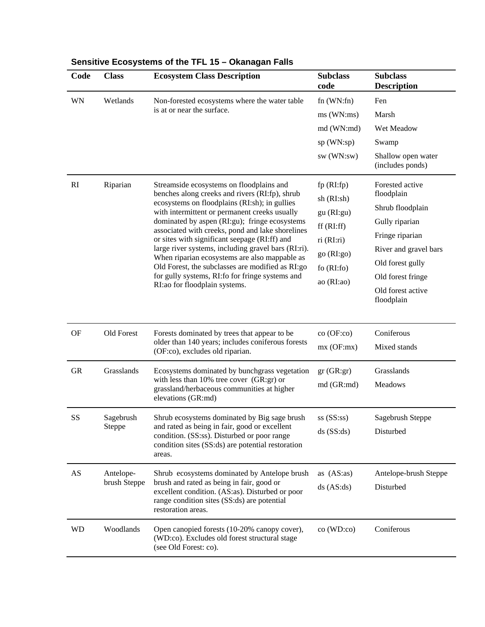| Code      | <b>Class</b>               | <b>Ecosystem Class Description</b>                                                                                                                                                                                                                                                                                                                                                                                                                                                                                                                                                                  | <b>Subclass</b><br>code                                                                                     | <b>Subclass</b><br><b>Description</b>                                                                                                                                                       |
|-----------|----------------------------|-----------------------------------------------------------------------------------------------------------------------------------------------------------------------------------------------------------------------------------------------------------------------------------------------------------------------------------------------------------------------------------------------------------------------------------------------------------------------------------------------------------------------------------------------------------------------------------------------------|-------------------------------------------------------------------------------------------------------------|---------------------------------------------------------------------------------------------------------------------------------------------------------------------------------------------|
| WN        | Wetlands                   | Non-forested ecosystems where the water table<br>is at or near the surface.                                                                                                                                                                                                                                                                                                                                                                                                                                                                                                                         | $fn$ (WN: $fn$ )<br>ms(WN:ms)<br>md (WN:md)<br>sp (WN:sp)<br>sw (WN:sw)                                     | Fen<br>Marsh<br>Wet Meadow<br>Swamp<br>Shallow open water<br>(includes ponds)                                                                                                               |
| RI        | Riparian                   | Streamside ecosystems on floodplains and<br>benches along creeks and rivers (RI:fp), shrub<br>ecosystems on floodplains (RI:sh); in gullies<br>with intermittent or permanent creeks usually<br>dominated by aspen (RI:gu); fringe ecosystems<br>associated with creeks, pond and lake shorelines<br>or sites with significant seepage (RI:ff) and<br>large river systems, including gravel bars (RI:ri).<br>When riparian ecosystems are also mappable as<br>Old Forest, the subclasses are modified as RI:go<br>for gully systems, RI: fo for fringe systems and<br>RI:ao for floodplain systems. | fp(RI:fp)<br>sh (RI:sh)<br>gu(RI:gu)<br>ff(RI:ff)<br>ri (RI:ri)<br>go (RI:go)<br>fo $(RI:fo)$<br>ao (RI:ao) | Forested active<br>floodplain<br>Shrub floodplain<br>Gully riparian<br>Fringe riparian<br>River and gravel bars<br>Old forest gully<br>Old forest fringe<br>Old forest active<br>floodplain |
| <b>OF</b> | Old Forest                 | Forests dominated by trees that appear to be<br>older than 140 years; includes coniferous forests<br>(OF:co), excludes old riparian.                                                                                                                                                                                                                                                                                                                                                                                                                                                                | co (OF:co)<br>mx(OF:mx)                                                                                     | Coniferous<br>Mixed stands                                                                                                                                                                  |
| GR        | Grasslands                 | Ecosystems dominated by bunchgrass vegetation<br>with less than $10\%$ tree cover (GR:gr) or<br>grassland/herbaceous communities at higher<br>elevations (GR:md)                                                                                                                                                                                                                                                                                                                                                                                                                                    | gr(GR:gr)<br>md (GR:md)                                                                                     | Grasslands<br>Meadows                                                                                                                                                                       |
| SS        | Sagebrush<br><b>Steppe</b> | Shrub ecosystems dominated by Big sage brush<br>and rated as being in fair, good or excellent<br>condition. (SS:ss). Disturbed or poor range<br>condition sites (SS:ds) are potential restoration<br>areas.                                                                                                                                                                                                                                                                                                                                                                                         | $ss$ (SS:ss)<br>$ds$ (SS:ds)                                                                                | Sagebrush Steppe<br>Disturbed                                                                                                                                                               |
| AS        | Antelope-<br>brush Steppe  | Shrub ecosystems dominated by Antelope brush<br>brush and rated as being in fair, good or<br>excellent condition. (AS:as). Disturbed or poor<br>range condition sites (SS:ds) are potential<br>restoration areas.                                                                                                                                                                                                                                                                                                                                                                                   | as $(AS:as)$<br>$ds$ (AS:ds)                                                                                | Antelope-brush Steppe<br>Disturbed                                                                                                                                                          |
| <b>WD</b> | Woodlands                  | Open canopied forests (10-20% canopy cover),<br>(WD:co). Excludes old forest structural stage<br>(see Old Forest: co).                                                                                                                                                                                                                                                                                                                                                                                                                                                                              | co (WD:co)                                                                                                  | Coniferous                                                                                                                                                                                  |

## **Sensitive Ecosystems of the TFL 15 – Okanagan Falls**